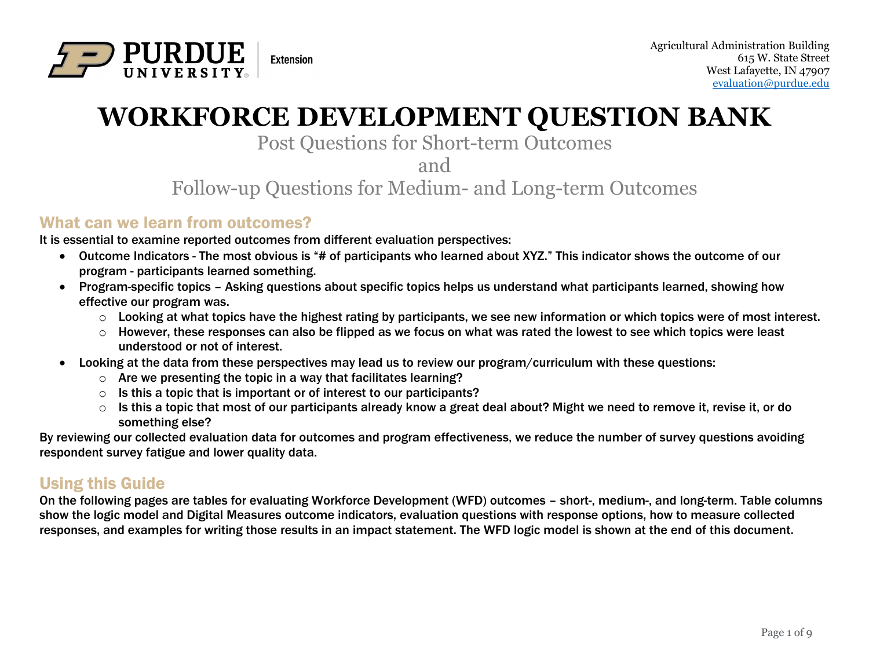

# **WORKFORCE DEVELOPMENT QUESTION BANK**

## Post Questions for Short-term Outcomes

and

Follow-up Questions for Medium- and Long-term Outcomes

#### What can we learn from outcomes?

It is essential to examine reported outcomes from different evaluation perspectives:

- Outcome Indicators The most obvious is "# of participants who learned about XYZ." This indicator shows the outcome of our program - participants learned something.
- Program-specific topics Asking questions about specific topics helps us understand what participants learned, showing how effective our program was.
	- $\circ$  Looking at what topics have the highest rating by participants, we see new information or which topics were of most interest.
	- $\circ$  However, these responses can also be flipped as we focus on what was rated the lowest to see which topics were least understood or not of interest.
- Looking at the data from these perspectives may lead us to review our program/curriculum with these questions:
	- $\circ$  Are we presenting the topic in a way that facilitates learning?
	- $\circ$  Is this a topic that is important or of interest to our participants?
	- o Is this a topic that most of our participants already know a great deal about? Might we need to remove it, revise it, or do something else?

By reviewing our collected evaluation data for outcomes and program effectiveness, we reduce the number of survey questions avoiding respondent survey fatigue and lower quality data.

### Using this Guide

On the following pages are tables for evaluating Workforce Development (WFD) outcomes – short-, medium-, and long-term. Table columns show the logic model and Digital Measures outcome indicators, evaluation questions with response options, how to measure collected responses, and examples for writing those results in an impact statement. The WFD logic model is shown at the end of this document.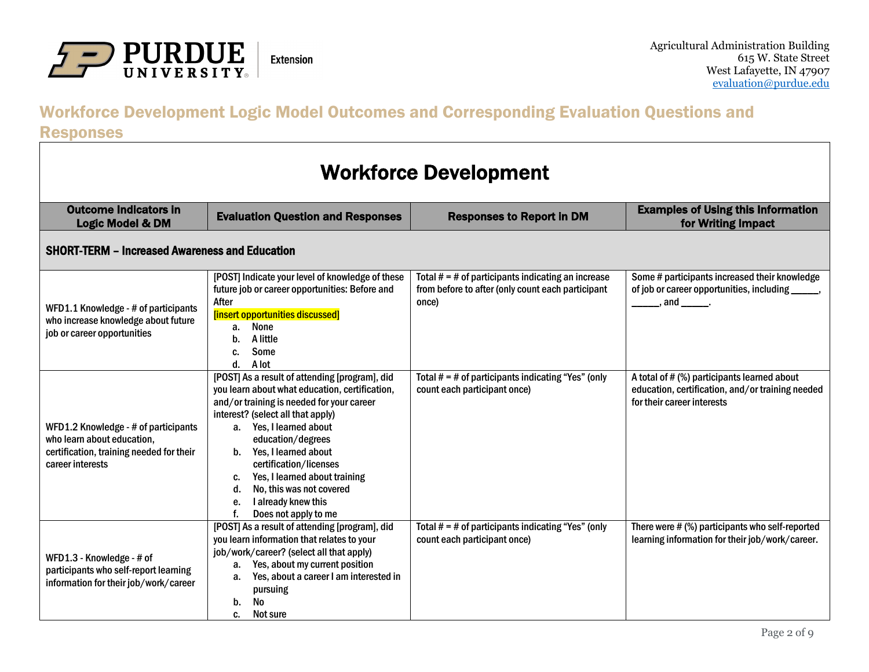

# Workforce Development Logic Model Outcomes and Corresponding Evaluation Questions and

Responses

| <b>Workforce Development</b>                                                                                                                                                                                   |                                                                                                                                                                                                                                                                                                                                                                                                                       |                                                                                                                    |                                                                                                                               |  |  |  |
|----------------------------------------------------------------------------------------------------------------------------------------------------------------------------------------------------------------|-----------------------------------------------------------------------------------------------------------------------------------------------------------------------------------------------------------------------------------------------------------------------------------------------------------------------------------------------------------------------------------------------------------------------|--------------------------------------------------------------------------------------------------------------------|-------------------------------------------------------------------------------------------------------------------------------|--|--|--|
| <b>Outcome Indicators in</b><br><b>Examples of Using this Information</b><br><b>Evaluation Question and Responses</b><br><b>Responses to Report in DM</b><br>for Writing Impact<br><b>Logic Model &amp; DM</b> |                                                                                                                                                                                                                                                                                                                                                                                                                       |                                                                                                                    |                                                                                                                               |  |  |  |
| <b>SHORT-TERM - Increased Awareness and Education</b>                                                                                                                                                          |                                                                                                                                                                                                                                                                                                                                                                                                                       |                                                                                                                    |                                                                                                                               |  |  |  |
| WFD1.1 Knowledge - # of participants<br>who increase knowledge about future<br>job or career opportunities                                                                                                     | [POST] Indicate your level of knowledge of these<br>future job or career opportunities: Before and<br>After<br>[insert opportunities discussed]<br>None<br>a.<br>A little<br>b.<br>Some<br>C.<br>A lot<br>$\mathbf{d}$ .                                                                                                                                                                                              | Total $# = #$ of participants indicating an increase<br>from before to after (only count each participant<br>once) | Some # participants increased their knowledge<br>of job or career opportunities, including _____,<br>, and _____.             |  |  |  |
| WFD1.2 Knowledge - # of participants<br>who learn about education,<br>certification, training needed for their<br>career interests                                                                             | [POST] As a result of attending [program], did<br>you learn about what education, certification,<br>and/or training is needed for your career<br>interest? (select all that apply)<br>a. Yes, I learned about<br>education/degrees<br>b. Yes, I learned about<br>certification/licenses<br>Yes, I learned about training<br>C.<br>No, this was not covered<br>d.<br>I already knew this<br>е.<br>Does not apply to me | Total $# = #$ of participants indicating "Yes" (only<br>count each participant once)                               | A total of # (%) participants learned about<br>education, certification, and/or training needed<br>for their career interests |  |  |  |
| WFD1.3 - Knowledge - # of<br>participants who self-report learning<br>information for their job/work/career                                                                                                    | [POST] As a result of attending [program], did<br>you learn information that relates to your<br>job/work/career? (select all that apply)<br>Yes, about my current position<br>а.<br>Yes, about a career I am interested in<br>а.<br>pursuing<br>No<br>b.<br>Not sure<br>c.                                                                                                                                            | Total $# = #$ of participants indicating "Yes" (only<br>count each participant once)                               | There were # (%) participants who self-reported<br>learning information for their job/work/career.                            |  |  |  |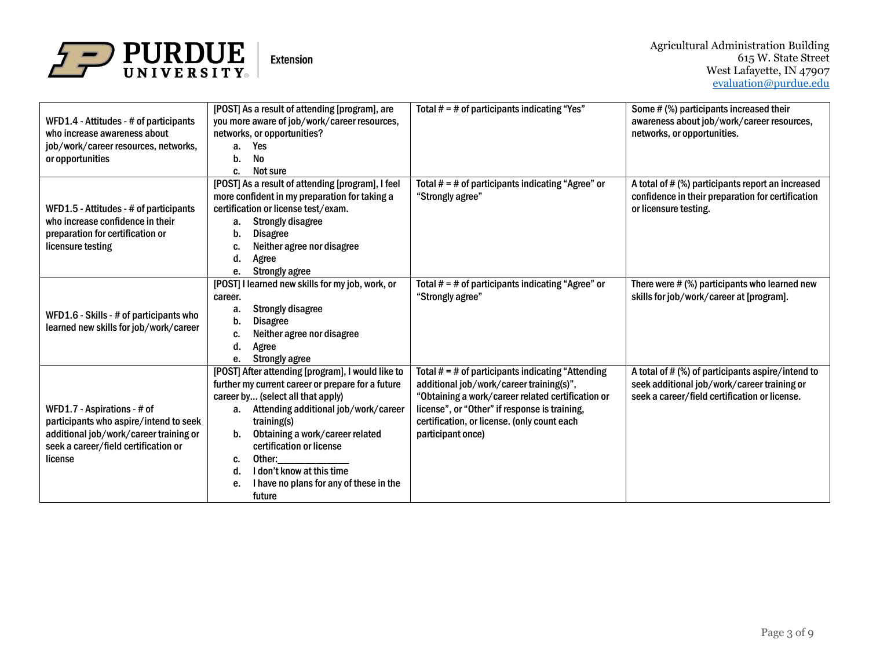

| WFD1.4 - Attitudes - # of participants<br>who increase awareness about<br>job/work/career resources, networks,<br>or opportunities                                 | [POST] As a result of attending [program], are<br>you more aware of job/work/career resources,<br>networks, or opportunities?<br>Yes<br>a.<br><b>No</b><br>b.                                                                                                                                                                                                                                                                                                                                       | Total $# = #$ of participants indicating "Yes"                                                                                                                                                                                                                            | Some # (%) participants increased their<br>awareness about job/work/career resources,<br>networks, or opportunities.                              |
|--------------------------------------------------------------------------------------------------------------------------------------------------------------------|-----------------------------------------------------------------------------------------------------------------------------------------------------------------------------------------------------------------------------------------------------------------------------------------------------------------------------------------------------------------------------------------------------------------------------------------------------------------------------------------------------|---------------------------------------------------------------------------------------------------------------------------------------------------------------------------------------------------------------------------------------------------------------------------|---------------------------------------------------------------------------------------------------------------------------------------------------|
| WFD1.5 - Attitudes - # of participants<br>who increase confidence in their<br>preparation for certification or<br>licensure testing                                | Not sure<br>C.<br>[POST] As a result of attending [program], I feel<br>more confident in my preparation for taking a<br>certification or license test/exam.<br><b>Strongly disagree</b><br>а.<br><b>Disagree</b><br>b.<br>Neither agree nor disagree<br>C.<br>Agree<br>d.<br><b>Strongly agree</b><br>e.                                                                                                                                                                                            | Total $# = #$ of participants indicating "Agree" or<br>"Strongly agree"                                                                                                                                                                                                   | A total of # (%) participants report an increased<br>confidence in their preparation for certification<br>or licensure testing.                   |
| WFD1.6 - Skills - # of participants who<br>learned new skills for job/work/career                                                                                  | [POST] I learned new skills for my job, work, or<br>career.<br><b>Strongly disagree</b><br>a.<br><b>Disagree</b><br>b.<br>Neither agree nor disagree<br>c.<br>Agree<br>d.<br><b>Strongly agree</b><br>е.                                                                                                                                                                                                                                                                                            | Total $# = #$ of participants indicating "Agree" or<br>"Strongly agree"                                                                                                                                                                                                   | There were $#$ (%) participants who learned new<br>skills for job/work/career at [program].                                                       |
| WFD1.7 - Aspirations - # of<br>participants who aspire/intend to seek<br>additional job/work/career training or<br>seek a career/field certification or<br>license | [POST] After attending [program], I would like to<br>further my current career or prepare for a future<br>career by (select all that apply)<br>Attending additional job/work/career<br>a.<br>training(s)<br>Obtaining a work/career related<br>b.<br>certification or license<br>Other: the control of the control of the control of the control of the control of the control of the control o<br>c.<br>I don't know at this time<br>d.<br>I have no plans for any of these in the<br>е.<br>future | Total $# = #$ of participants indicating "Attending<br>additional job/work/career training(s)",<br>"Obtaining a work/career related certification or<br>license", or "Other" if response is training,<br>certification, or license. (only count each<br>participant once) | A total of # (%) of participants aspire/intend to<br>seek additional job/work/career training or<br>seek a career/field certification or license. |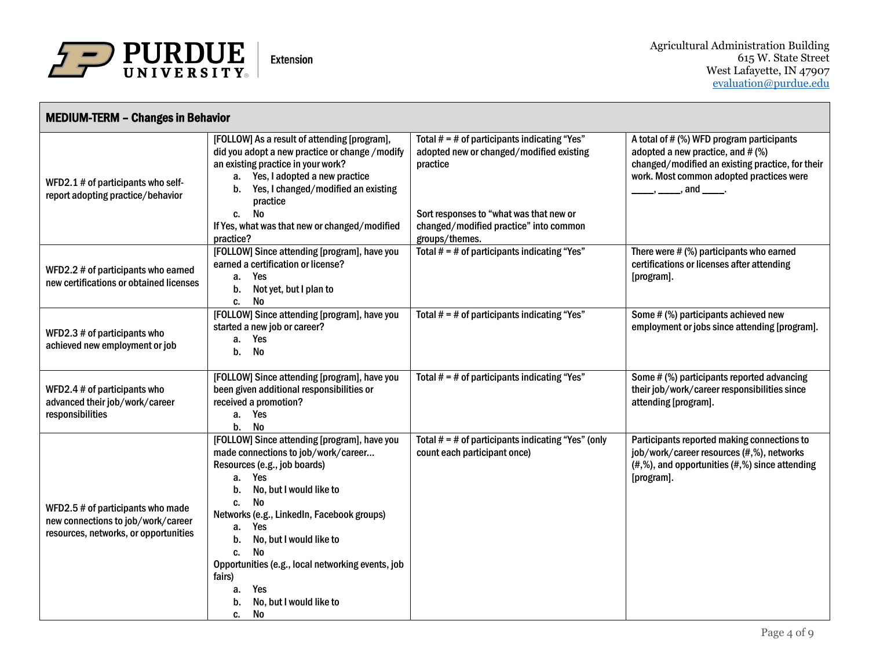

| <b>MEDIUM-TERM - Changes in Behavior</b>                                                                         |                                                                                                                                                                                                                                                                                                                                                                                                                       |                                                                                                                                                                                                               |                                                                                                                                                                                                       |  |  |
|------------------------------------------------------------------------------------------------------------------|-----------------------------------------------------------------------------------------------------------------------------------------------------------------------------------------------------------------------------------------------------------------------------------------------------------------------------------------------------------------------------------------------------------------------|---------------------------------------------------------------------------------------------------------------------------------------------------------------------------------------------------------------|-------------------------------------------------------------------------------------------------------------------------------------------------------------------------------------------------------|--|--|
| WFD2.1 # of participants who self-<br>report adopting practice/behavior                                          | [FOLLOW] As a result of attending [program],<br>did you adopt a new practice or change / modify<br>an existing practice in your work?<br>a. Yes, I adopted a new practice<br>b. Yes, I changed/modified an existing<br>practice<br>No<br>C.<br>If Yes, what was that new or changed/modified<br>practice?                                                                                                             | Total $# = #$ of participants indicating "Yes"<br>adopted new or changed/modified existing<br>practice<br>Sort responses to "what was that new or<br>changed/modified practice" into common<br>groups/themes. | A total of # (%) WFD program participants<br>adopted a new practice, and $#$ (%)<br>changed/modified an existing practice, for their<br>work. Most common adopted practices were<br>, and $\_\_\_\$ . |  |  |
| WFD2.2 # of participants who earned<br>new certifications or obtained licenses                                   | [FOLLOW] Since attending [program], have you<br>earned a certification or license?<br>Yes<br>а.<br>Not yet, but I plan to<br>b.<br>No<br>C.                                                                                                                                                                                                                                                                           | Total $# = #$ of participants indicating "Yes"                                                                                                                                                                | There were # (%) participants who earned<br>certifications or licenses after attending<br>[program].                                                                                                  |  |  |
| WFD2.3 # of participants who<br>achieved new employment or job                                                   | [FOLLOW] Since attending [program], have you<br>started a new job or career?<br>a. Yes<br><b>No</b><br>b.                                                                                                                                                                                                                                                                                                             | Total $# = #$ of participants indicating "Yes"                                                                                                                                                                | Some # (%) participants achieved new<br>employment or jobs since attending [program].                                                                                                                 |  |  |
| WFD2.4 # of participants who<br>advanced their job/work/career<br>responsibilities                               | [FOLLOW] Since attending [program], have you<br>been given additional responsibilities or<br>received a promotion?<br>a. Yes<br>No<br>b.                                                                                                                                                                                                                                                                              | Total $# = #$ of participants indicating "Yes"                                                                                                                                                                | Some # (%) participants reported advancing<br>their job/work/career responsibilities since<br>attending [program].                                                                                    |  |  |
| WFD2.5 # of participants who made<br>new connections to job/work/career<br>resources, networks, or opportunities | [FOLLOW] Since attending [program], have you<br>made connections to job/work/career<br>Resources (e.g., job boards)<br>Yes<br>а.<br>No, but I would like to<br>b.<br><b>No</b><br>C.<br>Networks (e.g., LinkedIn, Facebook groups)<br>Yes<br>a.<br>No, but I would like to<br>b.<br>No<br>C.<br>Opportunities (e.g., local networking events, job<br>fairs)<br>Yes<br>a.<br>No, but I would like to<br>b.<br>No<br>C. | Total $# = #$ of participants indicating "Yes" (only<br>count each participant once)                                                                                                                          | Participants reported making connections to<br>job/work/career resources (#,%), networks<br>$(#,%)$ , and opportunities $(*,%)$ since attending<br>[program].                                         |  |  |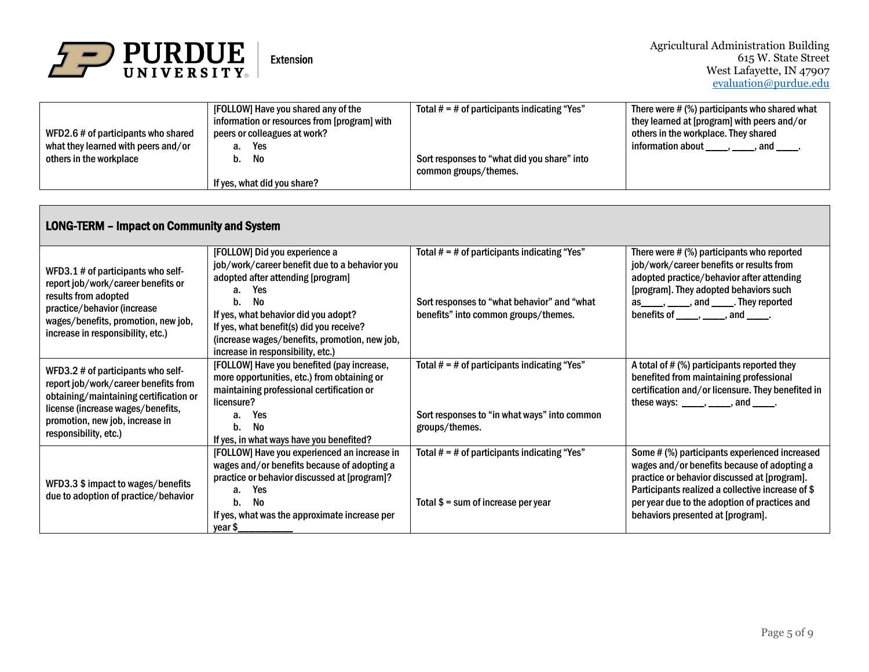

|                                     | [FOLLOW] Have you shared any of the          | Total $# = #$ of participants indicating "Yes" | There were # (%) participants who shared what |
|-------------------------------------|----------------------------------------------|------------------------------------------------|-----------------------------------------------|
|                                     | information or resources from [program] with |                                                | they learned at [program] with peers and/or   |
| WFD2.6 # of participants who shared | peers or colleagues at work?                 |                                                | others in the workplace. They shared          |
| what they learned with peers and/or | Yes<br>а.                                    |                                                | information about<br>, and                    |
| others in the workplace             | b. No                                        | Sort responses to "what did you share" into    |                                               |
|                                     |                                              | common groups/themes.                          |                                               |
|                                     | If yes, what did you share?                  |                                                |                                               |

| <b>LONG-TERM - Impact on Community and System</b>                                                                                                                                                                     |                                                                                                                                                                                                                                         |                                                                                               |                                                                                                                                                                                                                                                                                                                                                                                                                                                                                                                                                            |  |  |
|-----------------------------------------------------------------------------------------------------------------------------------------------------------------------------------------------------------------------|-----------------------------------------------------------------------------------------------------------------------------------------------------------------------------------------------------------------------------------------|-----------------------------------------------------------------------------------------------|------------------------------------------------------------------------------------------------------------------------------------------------------------------------------------------------------------------------------------------------------------------------------------------------------------------------------------------------------------------------------------------------------------------------------------------------------------------------------------------------------------------------------------------------------------|--|--|
| WFD3.1 # of participants who self-<br>report job/work/career benefits or<br>results from adopted<br>practice/behavior (increase<br>wages/benefits, promotion, new job,<br>increase in responsibility, etc.)           | [FOLLOW] Did you experience a<br>job/work/career benefit due to a behavior you<br>adopted after attending [program]<br><b>Yes</b><br>a.<br>No<br>b.                                                                                     | Total $# = #$ of participants indicating "Yes"<br>Sort responses to "what behavior" and "what | There were # (%) participants who reported<br>job/work/career benefits or results from<br>adopted practice/behavior after attending<br>[program]. They adopted behaviors such<br>$as_{\_\_\_\_}$ , $\_\_\_\_$ , and $\_\_\_\_$ . They reported                                                                                                                                                                                                                                                                                                             |  |  |
|                                                                                                                                                                                                                       | If yes, what behavior did you adopt?<br>If yes, what benefit(s) did you receive?<br>(increase wages/benefits, promotion, new job,<br>increase in responsibility, etc.)                                                                  | benefits" into common groups/themes.                                                          | benefits of $\_\_\_\,,\_\_\_\,,$ and $\_\_\_\,.$                                                                                                                                                                                                                                                                                                                                                                                                                                                                                                           |  |  |
| WFD3.2 # of participants who self-<br>report job/work/career benefits from<br>obtaining/maintaining certification or<br>license (increase wages/benefits,<br>promotion, new job, increase in<br>responsibility, etc.) | [FOLLOW] Have you benefited (pay increase,<br>more opportunities, etc.) from obtaining or<br>maintaining professional certification or<br>licensure?                                                                                    | Total $# = #$ of participants indicating "Yes"                                                | A total of # (%) participants reported they<br>benefited from maintaining professional<br>certification and/or licensure. They benefited in<br>these ways: $\frac{1}{\frac{1}{1-\frac{1}{1-\frac{1}{1-\frac{1}{1-\frac{1}{1-\frac{1}{1-\frac{1}{1-\frac{1}{1-\frac{1}{1-\frac{1}{1-\frac{1}{1-\frac{1}{1-\frac{1}{1-\frac{1}{1-\frac{1}{1-\frac{1}{1-\frac{1}{1-\frac{1}{1-\frac{1}{1-\frac{1}{1-\frac{1}{1-\frac{1}{1-\frac{1}{1-\frac{1}{1-\frac{1}{1-\frac{1}{1-\frac{1}{1-\frac{1}{1-\frac{1}{1-\frac{1}{1-\frac{1}{1-\frac{1}{1-\frac{1}{1-\frac{1}{$ |  |  |
|                                                                                                                                                                                                                       | Yes<br>а.<br>No<br>b.<br>If yes, in what ways have you benefited?                                                                                                                                                                       | Sort responses to "in what ways" into common<br>groups/themes.                                |                                                                                                                                                                                                                                                                                                                                                                                                                                                                                                                                                            |  |  |
| WFD3.3 \$ impact to wages/benefits<br>due to adoption of practice/behavior                                                                                                                                            | [FOLLOW] Have you experienced an increase in<br>wages and/or benefits because of adopting a<br>practice or behavior discussed at [program]?<br><b>Yes</b><br>а.<br>No<br>b.<br>If yes, what was the approximate increase per<br>vear \$ | Total $# = #$ of participants indicating "Yes"<br>Total $$ = sum of increase per year$        | Some # (%) participants experienced increased<br>wages and/or benefits because of adopting a<br>practice or behavior discussed at [program].<br>Participants realized a collective increase of \$<br>per year due to the adoption of practices and<br>behaviors presented at [program].                                                                                                                                                                                                                                                                    |  |  |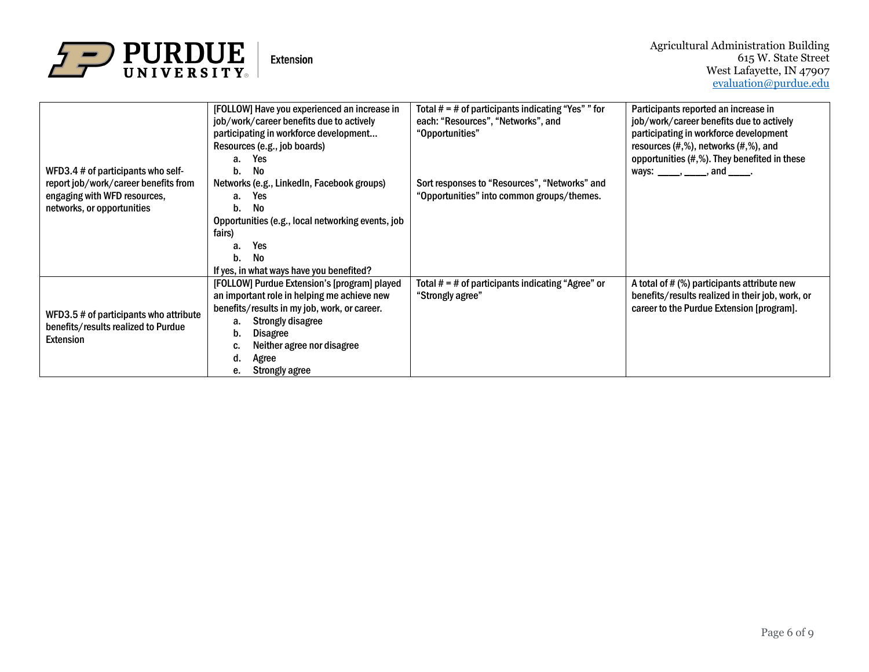

|                                                                                                   | [FOLLOW] Have you experienced an increase in      | Total $# = #$ of participants indicating "Yes" " for | Participants reported an increase in             |
|---------------------------------------------------------------------------------------------------|---------------------------------------------------|------------------------------------------------------|--------------------------------------------------|
|                                                                                                   | job/work/career benefits due to actively          | each: "Resources", "Networks", and                   | job/work/career benefits due to actively         |
|                                                                                                   | participating in workforce development            | "Opportunities"                                      | participating in workforce development           |
|                                                                                                   | Resources (e.g., job boards)                      |                                                      | resources $(\#, \%)$ , networks $(\#, \%)$ , and |
|                                                                                                   | Yes<br>a.                                         |                                                      | opportunities (#,%). They benefited in these     |
| WFD3.4 # of participants who self-                                                                | No<br>b.                                          |                                                      | ways: _____, _____, and _____.                   |
| report job/work/career benefits from                                                              | Networks (e.g., LinkedIn, Facebook groups)        | Sort responses to "Resources", "Networks" and        |                                                  |
| engaging with WFD resources,                                                                      | a. Yes                                            | "Opportunities" into common groups/themes.           |                                                  |
| networks, or opportunities                                                                        | No<br>b.                                          |                                                      |                                                  |
|                                                                                                   | Opportunities (e.g., local networking events, job |                                                      |                                                  |
|                                                                                                   | fairs)                                            |                                                      |                                                  |
|                                                                                                   | Yes<br>a.                                         |                                                      |                                                  |
|                                                                                                   | No<br>b.                                          |                                                      |                                                  |
|                                                                                                   | If yes, in what ways have you benefited?          |                                                      |                                                  |
|                                                                                                   | [FOLLOW] Purdue Extension's [program] played      | Total $# = #$ of participants indicating "Agree" or  | A total of # (%) participants attribute new      |
|                                                                                                   | an important role in helping me achieve new       | "Strongly agree"                                     | benefits/results realized in their job, work, or |
| WFD3.5 # of participants who attribute<br>benefits/results realized to Purdue<br><b>Extension</b> | benefits/results in my job, work, or career.      |                                                      | career to the Purdue Extension [program].        |
|                                                                                                   | <b>Strongly disagree</b><br>a.                    |                                                      |                                                  |
|                                                                                                   | <b>Disagree</b><br>b.                             |                                                      |                                                  |
|                                                                                                   | Neither agree nor disagree<br>C.                  |                                                      |                                                  |
|                                                                                                   | Agree<br>d.                                       |                                                      |                                                  |
|                                                                                                   | <b>Strongly agree</b><br>е.                       |                                                      |                                                  |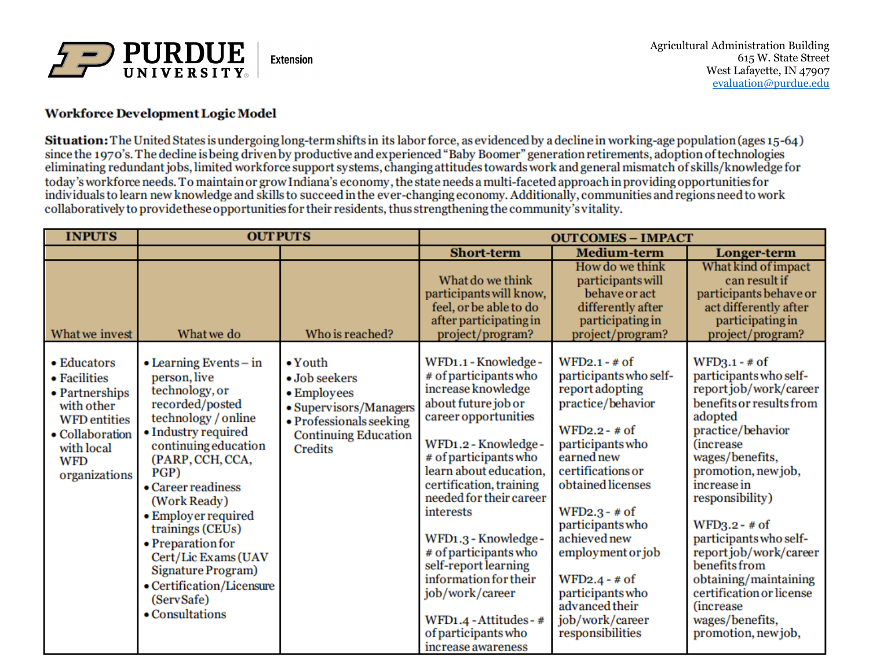

#### **Workforce Development Logic Model**

Situation: The United States is undergoing long-term shifts in its labor force, as evidenced by a decline in working-age population (ages 15-64) since the 1970's. The decline is being driven by productive and experienced "Baby Boomer" generation retirements, adoption of technologies eliminating redundant jobs, limited workforce support systems, changing attitudes towards work and general mismatch of skills/knowledge for today's workforce needs. To maintain or grow Indiana's economy, the state needs a multi-faceted approach in providing opportunities for individuals to learn new knowledge and skills to succeed in the ever-changing economy. Additionally, communities and regions need to work collaboratively to provide these opportunities for their residents, thus strengthening the community's vitality.

| <b>INPUTS</b>                                                                                                                                      | <b>OUTPUTS</b>                                                                                                                                                                                                                                                                                                                                                                                           |                                                                                                                                                       | <b>OUTCOMES - IMPACT</b>                                                                                                                                                                                                                                                                                                                                                                                                                                     |                                                                                                                                                                                                                                                                                                                                                              |                                                                                                                                                                                                                                                                                                                                                                                                                                                     |
|----------------------------------------------------------------------------------------------------------------------------------------------------|----------------------------------------------------------------------------------------------------------------------------------------------------------------------------------------------------------------------------------------------------------------------------------------------------------------------------------------------------------------------------------------------------------|-------------------------------------------------------------------------------------------------------------------------------------------------------|--------------------------------------------------------------------------------------------------------------------------------------------------------------------------------------------------------------------------------------------------------------------------------------------------------------------------------------------------------------------------------------------------------------------------------------------------------------|--------------------------------------------------------------------------------------------------------------------------------------------------------------------------------------------------------------------------------------------------------------------------------------------------------------------------------------------------------------|-----------------------------------------------------------------------------------------------------------------------------------------------------------------------------------------------------------------------------------------------------------------------------------------------------------------------------------------------------------------------------------------------------------------------------------------------------|
|                                                                                                                                                    |                                                                                                                                                                                                                                                                                                                                                                                                          |                                                                                                                                                       | <b>Short-term</b>                                                                                                                                                                                                                                                                                                                                                                                                                                            | <b>Medium-term</b>                                                                                                                                                                                                                                                                                                                                           | Longer-term                                                                                                                                                                                                                                                                                                                                                                                                                                         |
| What we invest                                                                                                                                     | What we do                                                                                                                                                                                                                                                                                                                                                                                               | Who is reached?                                                                                                                                       | What do we think<br>participants will know,<br>feel, or be able to do<br>after participating in<br>project/program?                                                                                                                                                                                                                                                                                                                                          | How do we think<br>participants will<br>behave or act<br>differently after<br>participating in<br>project/program?                                                                                                                                                                                                                                           | What kind of impact<br>can result if<br>participants behave or<br>act differently after<br>participating in<br>project/program?                                                                                                                                                                                                                                                                                                                     |
| • Educators<br>• Facilities<br>• Partnerships<br>with other<br><b>WFD</b> entities<br>• Collaboration<br>with local<br><b>WFD</b><br>organizations | $\bullet$ Learning Events $-$ in<br>person, live<br>technology, or<br>recorded/posted<br>technology / online<br>• Industry required<br>continuing education<br>(PARP, CCH, CCA,<br>PGP)<br>• Career readiness<br>(Work Ready)<br>• Employer required<br>trainings (CEUs)<br>• Preparation for<br>Cert/Lic Exams (UAV<br>Signature Program)<br>• Certification/Licensure<br>(ServSafe)<br>• Consultations | $\bullet$ Youth<br>• Job seekers<br>• Employees<br>• Supervisors/Managers<br>• Professionals seeking<br><b>Continuing Education</b><br><b>Credits</b> | WFD1.1 - Knowledge -<br># of participants who<br>increase knowledge<br>about future job or<br>career opportunities<br>WFD1.2 - Knowledge -<br># of participants who<br>learn about education,<br>certification, training<br>needed for their career<br>interests<br>WFD1.3 - Knowledge -<br># of participants who<br>self-report learning<br>information for their<br>job/work/career<br>WFD1.4 - Attitudes - #<br>of participants who<br>increase awareness | $WFD2.1 - # of$<br>participants who self-<br>report adopting<br>practice/behavior<br>$WFD2.2 - # of$<br>participants who<br>earned new<br>certifications or<br>obtained licenses<br>$WFD2.3 - # of$<br>participants who<br>achieved new<br>employment or job<br>$WFD2.4 - # of$<br>participants who<br>advanced their<br>job/work/career<br>responsibilities | $WFD3.1 - # of$<br>participants who self-<br>report job/work/career<br>benefits or results from<br>adopted<br>practice/behavior<br><i><b>(increase)</b></i><br>wages/benefits,<br>promotion, new job,<br>increase in<br>responsibility)<br>$WFD3.2 - # of$<br>participants who self-<br>report job/work/career<br>benefits from<br>obtaining/maintaining<br>certification or license<br><i>(increase)</i><br>wages/benefits,<br>promotion, new job, |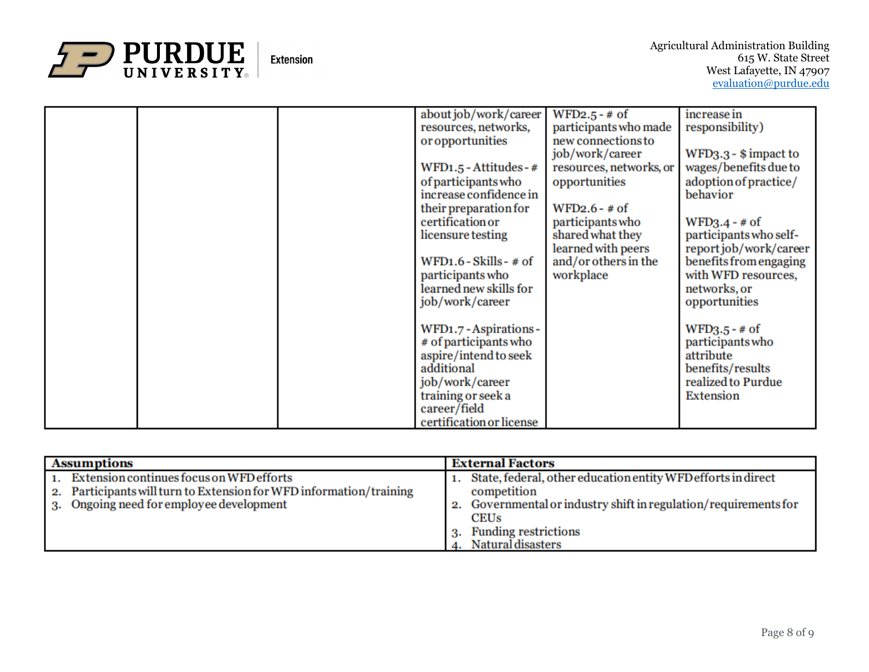

|  | about job/work/career<br>resources, networks, | $WFD2.5 - # of$<br>participants who made | increase in<br>responsibility)    |
|--|-----------------------------------------------|------------------------------------------|-----------------------------------|
|  | or opportunities                              | new connections to                       |                                   |
|  |                                               | job/work/career                          | $WFD3.3 - $ impact to$            |
|  | WFD1.5 - Attitudes - #                        | resources, networks, or                  | wages/benefits due to             |
|  |                                               |                                          |                                   |
|  | of participants who<br>increase confidence in | opportunities                            | adoption of practice/<br>behavior |
|  | their preparation for                         | $WFD2.6 - # of$                          |                                   |
|  | certification or                              | participants who                         | $WFD3.4 - # of$                   |
|  | licensure testing                             | shared what they                         | participants who self-            |
|  |                                               | learned with peers                       | reportjob/work/career             |
|  | WFD1.6 - Skills - # of                        | and/or others in the                     | benefits from engaging            |
|  | participants who                              | workplace                                | with WFD resources,               |
|  | learned new skills for                        |                                          | networks, or                      |
|  | job/work/career                               |                                          | opportunities                     |
|  |                                               |                                          |                                   |
|  | WFD1.7 - Aspirations -                        |                                          | $WFD3.5 - # of$                   |
|  | # of participants who                         |                                          | participants who                  |
|  | aspire/intend to seek                         |                                          | attribute                         |
|  | additional                                    |                                          | benefits/results                  |
|  | job/work/career                               |                                          | realized to Purdue                |
|  | training or seek a                            |                                          | Extension                         |
|  | career/field                                  |                                          |                                   |
|  | certification or license                      |                                          |                                   |

| <b>Assumptions</b>                                                                                                                                                | <b>External Factors</b>                                                                                                                                                                      |
|-------------------------------------------------------------------------------------------------------------------------------------------------------------------|----------------------------------------------------------------------------------------------------------------------------------------------------------------------------------------------|
| 1. Extension continues focus on WFD efforts<br>2. Participants will turn to Extension for WFD information/training<br>Ongoing need for employee development<br>3. | 1. State, federal, other education entity WFD efforts in direct<br>competition<br>2. Governmental or industry shift in regulation/requirements for<br><b>CEUs</b><br>3. Funding restrictions |
|                                                                                                                                                                   | 4. Natural disasters                                                                                                                                                                         |